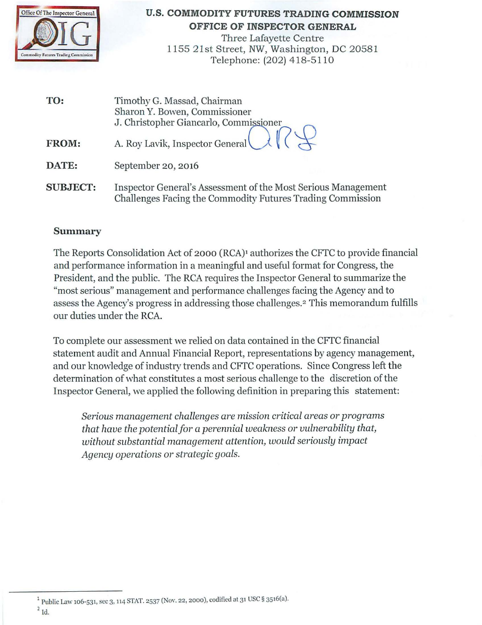

#### **U.S. COMMODITY FUTURES TRADING COMMISSION OFFICE OF INSPECTOR GENERAL**

Three Lafayette Centre 1155 21st Street, NW, Washington, DC 20581 Telephone: (202) 4 18-51 10

| TO:             | Timothy G. Massad, Chairman<br>Sharon Y. Bowen, Commissioner<br>J. Christopher Giancarlo, Commissioner                      |
|-----------------|-----------------------------------------------------------------------------------------------------------------------------|
| <b>FROM:</b>    | A. Roy Lavik, Inspector General                                                                                             |
| DATE:           | September 20, 2016                                                                                                          |
| <b>SUBJECT:</b> | Inspector General's Assessment of the Most Serious Management<br>Challenges Facing the Commodity Futures Trading Commission |

### **Summary**

The Reports Consolidation Act of 2000 (RCA)<sup>1</sup> authorizes the CFTC to provide financial and performance information in a meaningful and useful format for Congress, the President, and the public. The RCA requires the Inspector General to summarize the "most serious" management and performance challenges facing the Agency and to assess the Agency's progress in addressing those challenges.2 This memorandum fulfills our duties under the RCA.

To complete our assessment we relied on data contained in the CFfC financial statement audit and Annual Financial Report, representations by agency management, and our knowledge of industry trends and CFTC operations. Since Congress left the determination of what constitutes a most serious challenge to the discretion of the Inspector General, we applied the following definition in preparing this statement:

*Serious management challenges are mission critical areas or programs that have the potential for a perennial weakness or vulnerability that, without substantial management attention, would seriously impact Agency operations or strategic goals.* 

 $1$  Public Law 106-531, sec 3, 114 STAT. 2537 (Nov. 22, 2000), codified at 31 USC § 3516(a).  $2$  Id.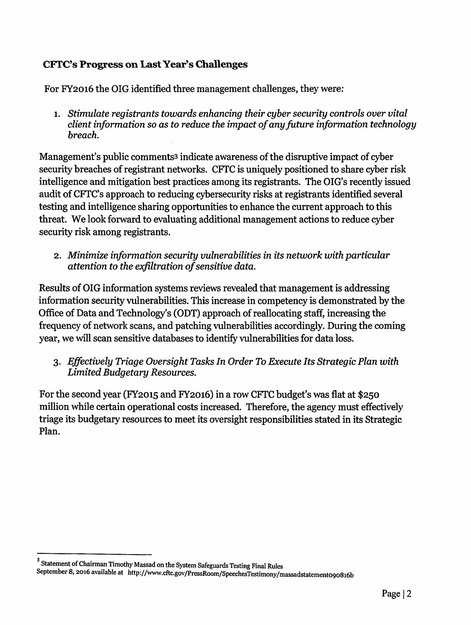# CFTC's Progress on Last Year's Challenges

For FY2016 the OIG identified three management challenges, they *were:* 

1. Stimulate registrants towards enhancing their cyber security controls over vital *client information so as to reduce the impact of any future information technology breach.* 

Management's public comments<sup>3</sup> indicate awareness of the disruptive impact of cyber security breaches of registrant networks. CFTC is uniquely positioned to share cyber risk intelligence and mitigation best practices among its registrants. The OIG's recently issued audit of CFTC's approach to reducing cybersecurity risks at registrants identified several testing and intelligence sharing opportunities to enhance the current approach to this threat. We look forward to evaluating additional management actions to reduce cyber security risk among registrants.

2. *Minimize information security vulnerabilities in its network with particular attention to the exfiltration of sensitive data.* 

Results of OIG information systems reviews revealed that management is addressing information security vulnerabilities. This increase in competency is demonstrated by the Office of Data and Technology's (ODT) approach of reallocating staff, increasing the frequency of network scans, and patching vulnerabilities accordingly. During the coming year, we will scan sensitive databases to identify vulnerabilities for data loss.

3. *Effectively Triage Oversight Tasks In Order To Execute Its Strategic Plan with Limited Budgetary Resources.* 

For the second year (FY2015 and FY2016) in a row CFTC budget's was flat at \$250 million while certain operational costs increased. Therefore, the agency must effectively triage its budgetary resources to meet its oversight responsibilities stated in its Strategic Plan.

 $^{\rm 3}$  Statement of Chairman Timothy Massad on the System Safeguards Testing Final Rules

September 8, 2016 available at http://www.cftc.gov/PressRoom/SpeechesTestimony/massadstatemento90816b